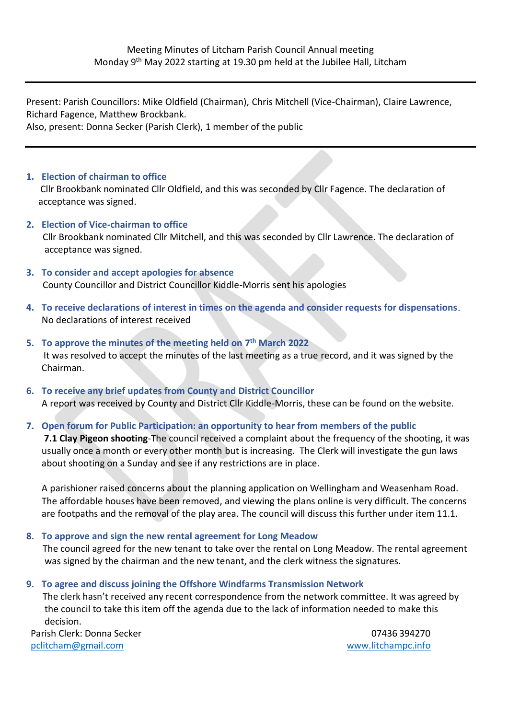Present: Parish Councillors: Mike Oldfield (Chairman), Chris Mitchell (Vice-Chairman), Claire Lawrence, Richard Fagence, Matthew Brockbank. Also, present: Donna Secker (Parish Clerk), 1 member of the public

#### **1. Election of chairman to office**

 Cllr Brookbank nominated Cllr Oldfield, and this was seconded by Cllr Fagence. The declaration of acceptance was signed.

- **2. Election of Vice-chairman to office** Cllr Brookbank nominated Cllr Mitchell, and this was seconded by Cllr Lawrence. The declaration of acceptance was signed.
- **3. To consider and accept apologies for absence** County Councillor and District Councillor Kiddle-Morris sent his apologies
- **4. To receive declarations of interest in times on the agenda and consider requests for dispensations**. No declarations of interest received
- **5. To approve the minutes of the meeting held on 7 th March 2022** It was resolved to accept the minutes of the last meeting as a true record, and it was signed by the Chairman.
- **6. To receive any brief updates from County and District Councillor** A report was received by County and District Cllr Kiddle-Morris, these can be found on the website.
- **7. Open forum for Public Participation: an opportunity to hear from members of the public**

**7.1 Clay Pigeon shooting**-The council received a complaint about the frequency of the shooting, it was usually once a month or every other month but is increasing. The Clerk will investigate the gun laws about shooting on a Sunday and see if any restrictions are in place.

A parishioner raised concerns about the planning application on Wellingham and Weasenham Road. The affordable houses have been removed, and viewing the plans online is very difficult. The concerns are footpaths and the removal of the play area. The council will discuss this further under item 11.1.

#### **8. To approve and sign the new rental agreement for Long Meadow**

 The council agreed for the new tenant to take over the rental on Long Meadow. The rental agreement was signed by the chairman and the new tenant, and the clerk witness the signatures.

**9. To agree and discuss joining the Offshore Windfarms Transmission Network**

 The clerk hasn't received any recent correspondence from the network committee. It was agreed by the council to take this item off the agenda due to the lack of information needed to make this decision.

Parish Clerk: Donna Secker [pclitcham@gmail.com](mailto:pclitcham@gmail.com)

07436 394270 www.litchampc.info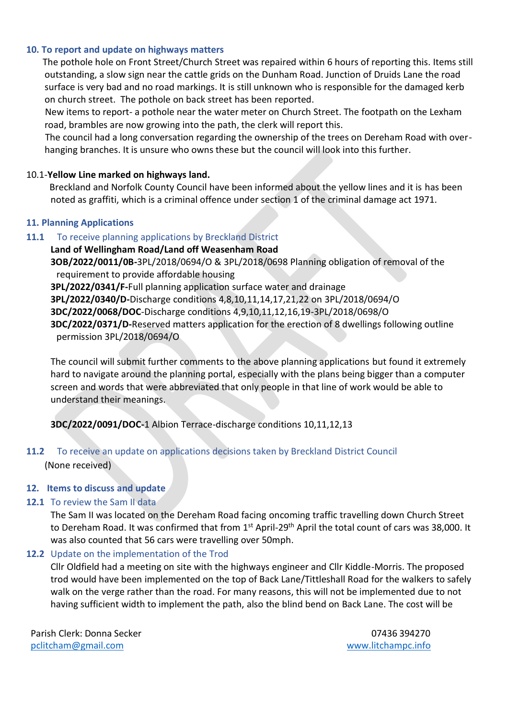#### **10. To report and update on highways matters**

 The pothole hole on Front Street/Church Street was repaired within 6 hours of reporting this. Items still outstanding, a slow sign near the cattle grids on the Dunham Road. Junction of Druids Lane the road surface is very bad and no road markings. It is still unknown who is responsible for the damaged kerb on church street. The pothole on back street has been reported.

 New items to report- a pothole near the water meter on Church Street. The footpath on the Lexham road, brambles are now growing into the path, the clerk will report this.

 The council had a long conversation regarding the ownership of the trees on Dereham Road with overhanging branches. It is unsure who owns these but the council will look into this further.

#### 10.1-**Yellow Line marked on highways land.**

 Breckland and Norfolk County Council have been informed about the yellow lines and it is has been noted as graffiti, which is a criminal offence under section 1 of the criminal damage act 1971.

#### **11. Planning Applications**

#### **11.1** To receive planning applications by Breckland District

## **Land of Wellingham Road/Land off Weasenham Road 3OB/2022/0011/0B-**3PL/2018/0694/O & 3PL/2018/0698 Planning obligation of removal of the requirement to provide affordable housing **3PL/2022/0341/F-**Full planning application surface water and drainage **3PL/2022/0340/D-**Discharge conditions 4,8,10,11,14,17,21,22 on 3PL/2018/0694/O

**3DC/2022/0068/DOC**-Discharge conditions 4,9,10,11,12,16,19-3PL/2018/0698/O **3DC/2022/0371/D-**Reserved matters application for the erection of 8 dwellings following outline permission 3PL/2018/0694/O

The council will submit further comments to the above planning applications but found it extremely hard to navigate around the planning portal, especially with the plans being bigger than a computer screen and words that were abbreviated that only people in that line of work would be able to understand their meanings.

#### **3DC/2022/0091/DOC-**1 Albion Terrace-discharge conditions 10,11,12,13

## **11.2** To receive an update on applications decisions taken by Breckland District Council (None received)

#### **12. Items to discuss and update**

#### 12.1 To review the Sam II data

The Sam II was located on the Dereham Road facing oncoming traffic travelling down Church Street to Dereham Road. It was confirmed that from 1<sup>st</sup> April-29<sup>th</sup> April the total count of cars was 38,000. It was also counted that 56 cars were travelling over 50mph.

#### **12.2** Update on the implementation of the Trod

Cllr Oldfield had a meeting on site with the highways engineer and Cllr Kiddle-Morris. The proposed trod would have been implemented on the top of Back Lane/Tittleshall Road for the walkers to safely walk on the verge rather than the road. For many reasons, this will not be implemented due to not having sufficient width to implement the path, also the blind bend on Back Lane. The cost will be

Parish Clerk: Donna Secker [pclitcham@gmail.com](mailto:pclitcham@gmail.com)

07436 394270 www.litchampc.info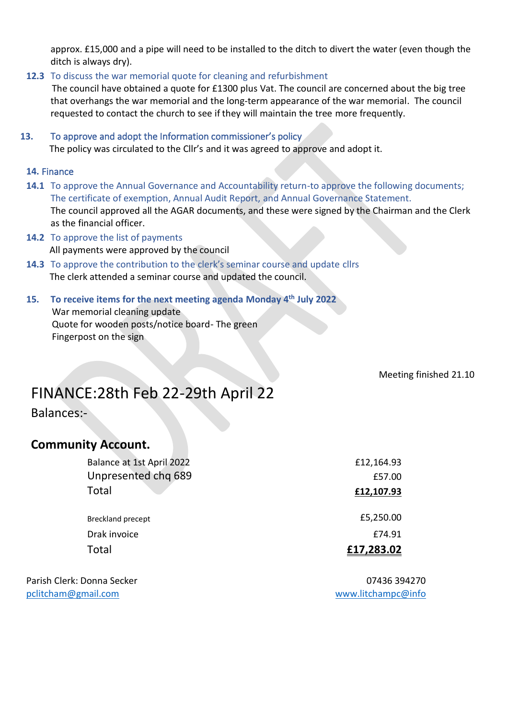approx. £15,000 and a pipe will need to be installed to the ditch to divert the water (even though the ditch is always dry).

#### **12.3** To discuss the war memorial quote for cleaning and refurbishment

 The council have obtained a quote for £1300 plus Vat. The council are concerned about the big tree that overhangs the war memorial and the long-term appearance of the war memorial. The council requested to contact the church to see if they will maintain the tree more frequently.

### **13.** To approve and adopt the Information commissioner's policy The policy was circulated to the Cllr's and it was agreed to approve and adopt it.

#### **14.** Finance

- **14.1** To approve the Annual Governance and Accountability return-to approve the following documents; The certificate of exemption, Annual Audit Report, and Annual Governance Statement. The council approved all the AGAR documents, and these were signed by the Chairman and the Clerk as the financial officer.
- **14.2** To approve the list of payments All payments were approved by the council
- **14.3** To approve the contribution to the clerk's seminar course and update cllrs The clerk attended a seminar course and updated the council.

#### **15. To receive items for the next meeting agenda Monday 4th July 2022** War memorial cleaning update Quote for wooden posts/notice board- The green Fingerpost on the sign

Meeting finished 21.10

# FINANCE:28th Feb 22-29th April 22

Balances:-

## **Community Account.**

| Balance at 1st April 2022 | £12,164.93 |
|---------------------------|------------|
| Unpresented chq 689       | £57.00     |
| Total                     | £12,107.93 |
| <b>Breckland precept</b>  | £5,250.00  |
| Drak invoice              | £74.91     |
| Total                     | £17,283.02 |
|                           |            |

Parish Clerk: Donna Secker 07436 394270 [pclitcham@gmail.com](mailto:pclitcham@gmail.com) [www.litchampc@info](http://www.litchampc@info)